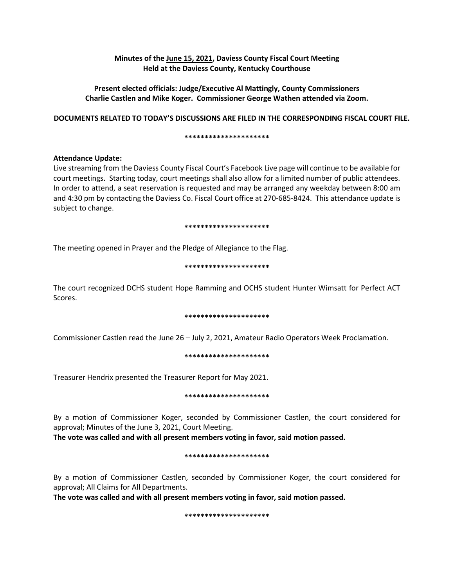# **Minutes of the June 15, 2021, Daviess County Fiscal Court Meeting Held at the Daviess County, Kentucky Courthouse**

## **Present elected officials: Judge/Executive Al Mattingly, County Commissioners Charlie Castlen and Mike Koger. Commissioner George Wathen attended via Zoom.**

## **DOCUMENTS RELATED TO TODAY'S DISCUSSIONS ARE FILED IN THE CORRESPONDING FISCAL COURT FILE.**

### **\*\*\*\*\*\*\*\*\*\*\*\*\*\*\*\*\*\*\*\*\***

# **Attendance Update:**

Live streaming from the Daviess County Fiscal Court's Facebook Live page will continue to be available for court meetings. Starting today, court meetings shall also allow for a limited number of public attendees. In order to attend, a seat reservation is requested and may be arranged any weekday between 8:00 am and 4:30 pm by contacting the Daviess Co. Fiscal Court office at 270-685-8424. This attendance update is subject to change.

### **\*\*\*\*\*\*\*\*\*\*\*\*\*\*\*\*\*\*\*\*\***

The meeting opened in Prayer and the Pledge of Allegiance to the Flag.

## **\*\*\*\*\*\*\*\*\*\*\*\*\*\*\*\*\*\*\*\*\***

The court recognized DCHS student Hope Ramming and OCHS student Hunter Wimsatt for Perfect ACT Scores.

## **\*\*\*\*\*\*\*\*\*\*\*\*\*\*\*\*\*\*\*\*\***

Commissioner Castlen read the June 26 – July 2, 2021, Amateur Radio Operators Week Proclamation.

### **\*\*\*\*\*\*\*\*\*\*\*\*\*\*\*\*\*\*\*\*\***

Treasurer Hendrix presented the Treasurer Report for May 2021.

### **\*\*\*\*\*\*\*\*\*\*\*\*\*\*\*\*\*\*\*\*\***

By a motion of Commissioner Koger, seconded by Commissioner Castlen, the court considered for approval; Minutes of the June 3, 2021, Court Meeting.

**The vote was called and with all present members voting in favor, said motion passed.** 

### **\*\*\*\*\*\*\*\*\*\*\*\*\*\*\*\*\*\*\*\*\***

By a motion of Commissioner Castlen, seconded by Commissioner Koger, the court considered for approval; All Claims for All Departments.

**The vote was called and with all present members voting in favor, said motion passed.** 

**\*\*\*\*\*\*\*\*\*\*\*\*\*\*\*\*\*\*\*\*\***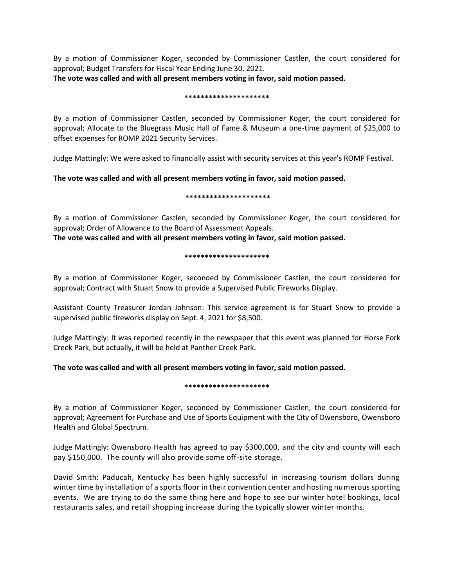By a motion of Commissioner Koger, seconded by Commissioner Castlen, the court considered for approval; Budget Transfers for Fiscal Year Ending June 30, 2021.

**The vote was called and with all present members voting in favor, said motion passed.**

### **\*\*\*\*\*\*\*\*\*\*\*\*\*\*\*\*\*\*\*\*\***

By a motion of Commissioner Castlen, seconded by Commissioner Koger, the court considered for approval; Allocate to the Bluegrass Music Hall of Fame & Museum a one-time payment of \$25,000 to offset expenses for ROMP 2021 Security Services.

Judge Mattingly: We were asked to financially assist with security services at this year's ROMP Festival.

# **The vote was called and with all present members voting in favor, said motion passed.**

## **\*\*\*\*\*\*\*\*\*\*\*\*\*\*\*\*\*\*\*\*\***

By a motion of Commissioner Castlen, seconded by Commissioner Koger, the court considered for approval; Order of Allowance to the Board of Assessment Appeals.

**The vote was called and with all present members voting in favor, said motion passed.**

## **\*\*\*\*\*\*\*\*\*\*\*\*\*\*\*\*\*\*\*\*\***

By a motion of Commissioner Koger, seconded by Commissioner Castlen, the court considered for approval; Contract with Stuart Snow to provide a Supervised Public Fireworks Display.

Assistant County Treasurer Jordan Johnson: This service agreement is for Stuart Snow to provide a supervised public fireworks display on Sept. 4, 2021 for \$8,500.

Judge Mattingly: It was reported recently in the newspaper that this event was planned for Horse Fork Creek Park, but actually, it will be held at Panther Creek Park.

# **The vote was called and with all present members voting in favor, said motion passed.**

## **\*\*\*\*\*\*\*\*\*\*\*\*\*\*\*\*\*\*\*\*\***

By a motion of Commissioner Koger, seconded by Commissioner Castlen, the court considered for approval; Agreement for Purchase and Use of Sports Equipment with the City of Owensboro, Owensboro Health and Global Spectrum.

Judge Mattingly: Owensboro Health has agreed to pay \$300,000, and the city and county will each pay \$150,000. The county will also provide some off-site storage.

David Smith: Paducah, Kentucky has been highly successful in increasing tourism dollars during winter time by installation of a sports floor in their convention center and hosting numerous sporting events. We are trying to do the same thing here and hope to see our winter hotel bookings, local restaurants sales, and retail shopping increase during the typically slower winter months.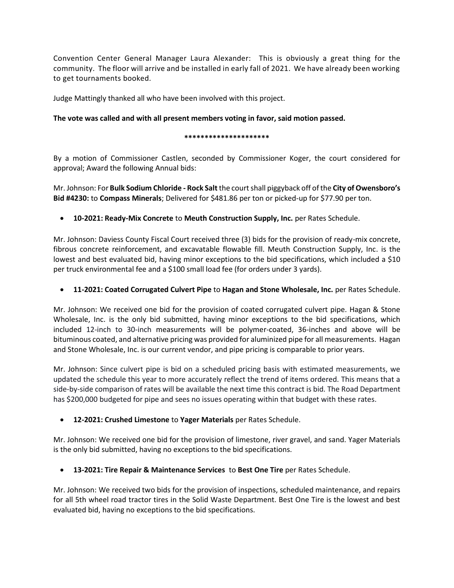Convention Center General Manager Laura Alexander: This is obviously a great thing for the community. The floor will arrive and be installed in early fall of 2021. We have already been working to get tournaments booked.

Judge Mattingly thanked all who have been involved with this project.

# **The vote was called and with all present members voting in favor, said motion passed.**

## **\*\*\*\*\*\*\*\*\*\*\*\*\*\*\*\*\*\*\*\*\***

By a motion of Commissioner Castlen, seconded by Commissioner Koger, the court considered for approval; Award the following Annual bids:

Mr. Johnson: For **Bulk Sodium Chloride - Rock Salt** the court shall piggyback off of the **City of Owensboro's Bid #4230:** to **Compass Minerals**; Delivered for \$481.86 per ton or picked-up for \$77.90 per ton.

**10-2021: Ready-Mix Concrete** to **Meuth Construction Supply, Inc.** per Rates Schedule.

Mr. Johnson: Daviess County Fiscal Court received three (3) bids for the provision of ready-mix concrete, fibrous concrete reinforcement, and excavatable flowable fill. Meuth Construction Supply, Inc. is the lowest and best evaluated bid, having minor exceptions to the bid specifications, which included a \$10 per truck environmental fee and a \$100 small load fee (for orders under 3 yards).

**11-2021: Coated Corrugated Culvert Pipe** to **Hagan and Stone Wholesale, Inc.** per Rates Schedule.

Mr. Johnson: We received one bid for the provision of coated corrugated culvert pipe. Hagan & Stone Wholesale, Inc. is the only bid submitted, having minor exceptions to the bid specifications, which included 12-inch to 30-inch measurements will be polymer-coated, 36-inches and above will be bituminous coated, and alternative pricing was provided for aluminized pipe for all measurements. Hagan and Stone Wholesale, Inc. is our current vendor, and pipe pricing is comparable to prior years.

Mr. Johnson: Since culvert pipe is bid on a scheduled pricing basis with estimated measurements, we updated the schedule this year to more accurately reflect the trend of items ordered. This means that a side-by-side comparison of rates will be available the next time this contract is bid. The Road Department has \$200,000 budgeted for pipe and sees no issues operating within that budget with these rates.

**12-2021: Crushed Limestone** to **Yager Materials** per Rates Schedule.

Mr. Johnson: We received one bid for the provision of limestone, river gravel, and sand. Yager Materials is the only bid submitted, having no exceptions to the bid specifications.

**13-2021: Tire Repair & Maintenance Services** to **Best One Tire** per Rates Schedule.

Mr. Johnson: We received two bids for the provision of inspections, scheduled maintenance, and repairs for all 5th wheel road tractor tires in the Solid Waste Department. Best One Tire is the lowest and best evaluated bid, having no exceptions to the bid specifications.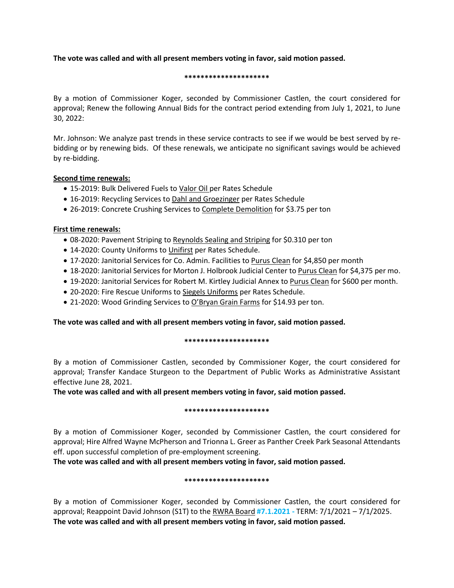## **The vote was called and with all present members voting in favor, said motion passed.**

### **\*\*\*\*\*\*\*\*\*\*\*\*\*\*\*\*\*\*\*\*\***

By a motion of Commissioner Koger, seconded by Commissioner Castlen, the court considered for approval; Renew the following Annual Bids for the contract period extending from July 1, 2021, to June 30, 2022:

Mr. Johnson: We analyze past trends in these service contracts to see if we would be best served by rebidding or by renewing bids. Of these renewals, we anticipate no significant savings would be achieved by re-bidding.

## **Second time renewals:**

- 15-2019: Bulk Delivered Fuels to Valor Oil per Rates Schedule
- 16-2019: Recycling Services to Dahl and Groezinger per Rates Schedule
- 26-2019: Concrete Crushing Services to Complete Demolition for \$3.75 per ton

## **First time renewals:**

- 08-2020: Pavement Striping to Reynolds Sealing and Striping for \$0.310 per ton
- 14-2020: County Uniforms to Unifirst per Rates Schedule.
- 17-2020: Janitorial Services for Co. Admin. Facilities to Purus Clean for \$4,850 per month
- 18-2020: Janitorial Services for Morton J. Holbrook Judicial Center to Purus Clean for \$4,375 per mo.
- 19-2020: Janitorial Services for Robert M. Kirtley Judicial Annex to Purus Clean for \$600 per month.
- 20-2020: Fire Rescue Uniforms to Siegels Uniforms per Rates Schedule.
- 21-2020: Wood Grinding Services to O'Bryan Grain Farms for \$14.93 per ton.

# **The vote was called and with all present members voting in favor, said motion passed.**

## **\*\*\*\*\*\*\*\*\*\*\*\*\*\*\*\*\*\*\*\*\***

By a motion of Commissioner Castlen, seconded by Commissioner Koger, the court considered for approval; Transfer Kandace Sturgeon to the Department of Public Works as Administrative Assistant effective June 28, 2021.

**The vote was called and with all present members voting in favor, said motion passed.**

## **\*\*\*\*\*\*\*\*\*\*\*\*\*\*\*\*\*\*\*\*\***

By a motion of Commissioner Koger, seconded by Commissioner Castlen, the court considered for approval; Hire Alfred Wayne McPherson and Trionna L. Greer as Panther Creek Park Seasonal Attendants eff. upon successful completion of pre-employment screening.

**The vote was called and with all present members voting in favor, said motion passed.**

## **\*\*\*\*\*\*\*\*\*\*\*\*\*\*\*\*\*\*\*\*\***

By a motion of Commissioner Koger, seconded by Commissioner Castlen, the court considered for approval; Reappoint David Johnson (S1T) to the RWRA Board **#7.1.2021 -** TERM: 7/1/2021 – 7/1/2025. **The vote was called and with all present members voting in favor, said motion passed.**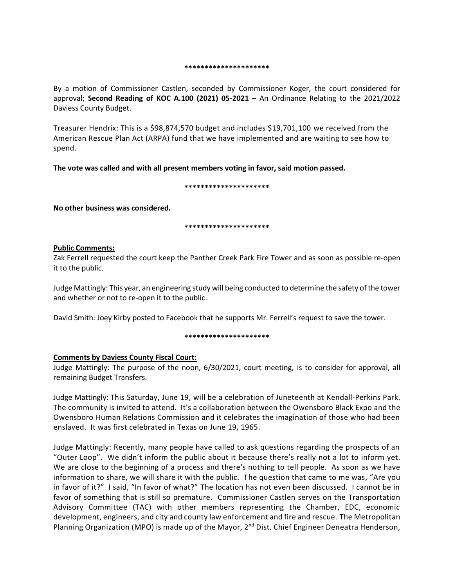### **\*\*\*\*\*\*\*\*\*\*\*\*\*\*\*\*\*\*\*\*\***

By a motion of Commissioner Castlen, seconded by Commissioner Koger, the court considered for approval; **Second Reading of KOC A.100 (2021) 05-2021** – An Ordinance Relating to the 2021/2022 Daviess County Budget.

Treasurer Hendrix: This is a \$98,874,570 budget and includes \$19,701,100 we received from the American Rescue Plan Act (ARPA) fund that we have implemented and are waiting to see how to spend.

**The vote was called and with all present members voting in favor, said motion passed.**

### **\*\*\*\*\*\*\*\*\*\*\*\*\*\*\*\*\*\*\*\*\***

**No other business was considered.**

### **\*\*\*\*\*\*\*\*\*\*\*\*\*\*\*\*\*\*\*\*\***

### **Public Comments:**

Zak Ferrell requested the court keep the Panther Creek Park Fire Tower and as soon as possible re-open it to the public.

Judge Mattingly: This year, an engineering study will being conducted to determine the safety of the tower and whether or not to re-open it to the public.

David Smith: Joey Kirby posted to Facebook that he supports Mr. Ferrell's request to save the tower.

### **\*\*\*\*\*\*\*\*\*\*\*\*\*\*\*\*\*\*\*\*\***

## **Comments by Daviess County Fiscal Court:**

Judge Mattingly: The purpose of the noon, 6/30/2021, court meeting, is to consider for approval, all remaining Budget Transfers.

Judge Mattingly: This Saturday, June 19, will be a celebration of Juneteenth at Kendall-Perkins Park. The community is invited to attend. It's a collaboration between the Owensboro Black Expo and the Owensboro Human Relations Commission and it celebrates the imagination of those who had been enslaved. It was first celebrated in Texas on June 19, 1965.

Judge Mattingly: Recently, many people have called to ask questions regarding the prospects of an "Outer Loop". We didn't inform the public about it because there's really not a lot to inform yet. We are close to the beginning of a process and there's nothing to tell people. As soon as we have information to share, we will share it with the public. The question that came to me was, "Are you in favor of it?" I said, "In favor of what?" The location has not even been discussed. I cannot be in favor of something that is still so premature. Commissioner Castlen serves on the Transportation Advisory Committee (TAC) with other members representing the Chamber, EDC, economic development, engineers, and city and county law enforcement and fire and rescue. The Metropolitan Planning Organization (MPO) is made up of the Mayor, 2<sup>nd</sup> Dist. Chief Engineer Deneatra Henderson,